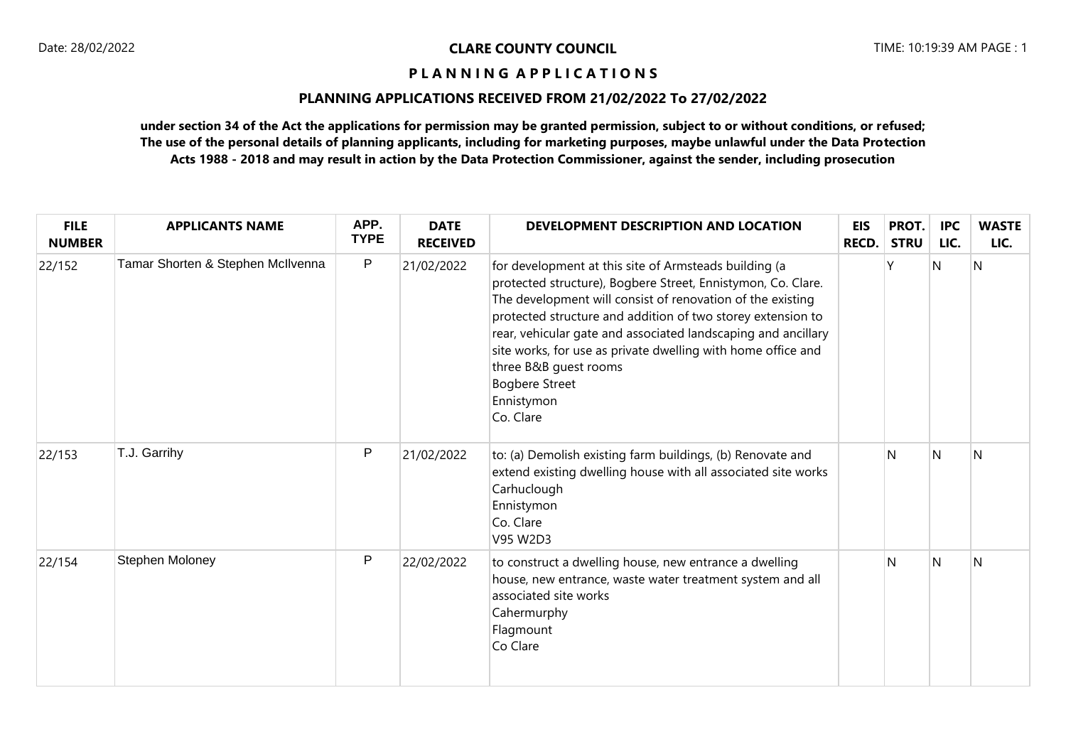# **PLANNING APPLICATIONS RECEIVED FROM 21/02/2022 To 27/02/2022**

| <b>FILE</b><br><b>NUMBER</b> | <b>APPLICANTS NAME</b>            | APP.<br><b>TYPE</b> | <b>DATE</b><br><b>RECEIVED</b> | DEVELOPMENT DESCRIPTION AND LOCATION                                                                                                                                                                                                                                                                                                                                                                                                                             | <b>EIS</b><br>RECD. | PROT.<br><b>STRU</b> | <b>IPC</b><br>LIC. | <b>WASTE</b><br>LIC. |
|------------------------------|-----------------------------------|---------------------|--------------------------------|------------------------------------------------------------------------------------------------------------------------------------------------------------------------------------------------------------------------------------------------------------------------------------------------------------------------------------------------------------------------------------------------------------------------------------------------------------------|---------------------|----------------------|--------------------|----------------------|
| 22/152                       | Tamar Shorten & Stephen McIlvenna | P                   | 21/02/2022                     | for development at this site of Armsteads building (a<br>protected structure), Bogbere Street, Ennistymon, Co. Clare.<br>The development will consist of renovation of the existing<br>protected structure and addition of two storey extension to<br>rear, vehicular gate and associated landscaping and ancillary<br>site works, for use as private dwelling with home office and<br>three B&B guest rooms<br><b>Bogbere Street</b><br>Ennistymon<br>Co. Clare |                     |                      | Ν                  | N                    |
| 22/153                       | T.J. Garrihy                      | P                   | 21/02/2022                     | to: (a) Demolish existing farm buildings, (b) Renovate and<br>extend existing dwelling house with all associated site works<br>Carhuclough<br>Ennistymon<br>Co. Clare<br>V95 W2D3                                                                                                                                                                                                                                                                                |                     | N                    | $\mathsf{N}$       | N                    |
| 22/154                       | Stephen Moloney                   | P                   | 22/02/2022                     | to construct a dwelling house, new entrance a dwelling<br>house, new entrance, waste water treatment system and all<br>associated site works<br>Cahermurphy<br>Flagmount<br>Co Clare                                                                                                                                                                                                                                                                             |                     | N                    | N                  | N                    |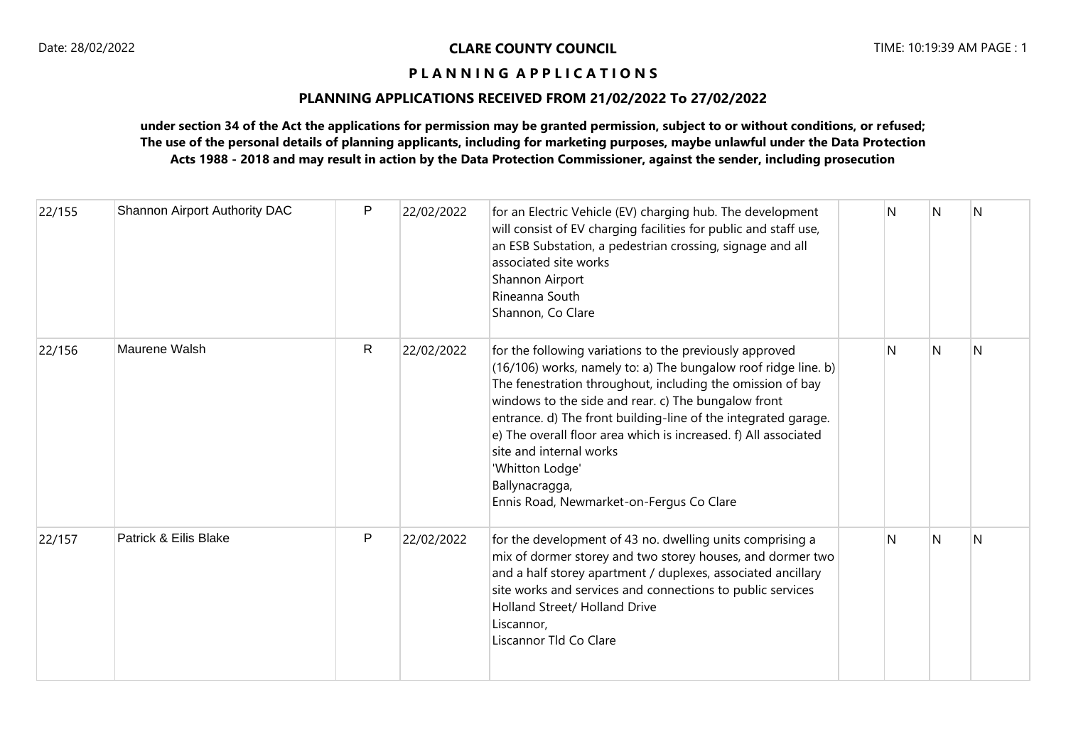# **PLANNING APPLICATIONS RECEIVED FROM 21/02/2022 To 27/02/2022**

| 22/155 | Shannon Airport Authority DAC | $\mathsf{P}$ | 22/02/2022 | for an Electric Vehicle (EV) charging hub. The development<br>will consist of EV charging facilities for public and staff use,<br>an ESB Substation, a pedestrian crossing, signage and all<br>associated site works<br>Shannon Airport<br>Rineanna South<br>Shannon, Co Clare                                                                                                                                                                                                                  | N | N | N |
|--------|-------------------------------|--------------|------------|-------------------------------------------------------------------------------------------------------------------------------------------------------------------------------------------------------------------------------------------------------------------------------------------------------------------------------------------------------------------------------------------------------------------------------------------------------------------------------------------------|---|---|---|
| 22/156 | Maurene Walsh                 | R            | 22/02/2022 | for the following variations to the previously approved<br>(16/106) works, namely to: a) The bungalow roof ridge line. b)<br>The fenestration throughout, including the omission of bay<br>windows to the side and rear. c) The bungalow front<br>entrance. d) The front building-line of the integrated garage.<br>e) The overall floor area which is increased. f) All associated<br>site and internal works<br>'Whitton Lodge'<br>Ballynacragga,<br>Ennis Road, Newmarket-on-Fergus Co Clare | N | N | N |
| 22/157 | Patrick & Eilis Blake         | P            | 22/02/2022 | for the development of 43 no. dwelling units comprising a<br>mix of dormer storey and two storey houses, and dormer two<br>and a half storey apartment / duplexes, associated ancillary<br>site works and services and connections to public services<br>Holland Street/ Holland Drive<br>Liscannor.<br>Liscannor Tld Co Clare                                                                                                                                                                  | N | N | N |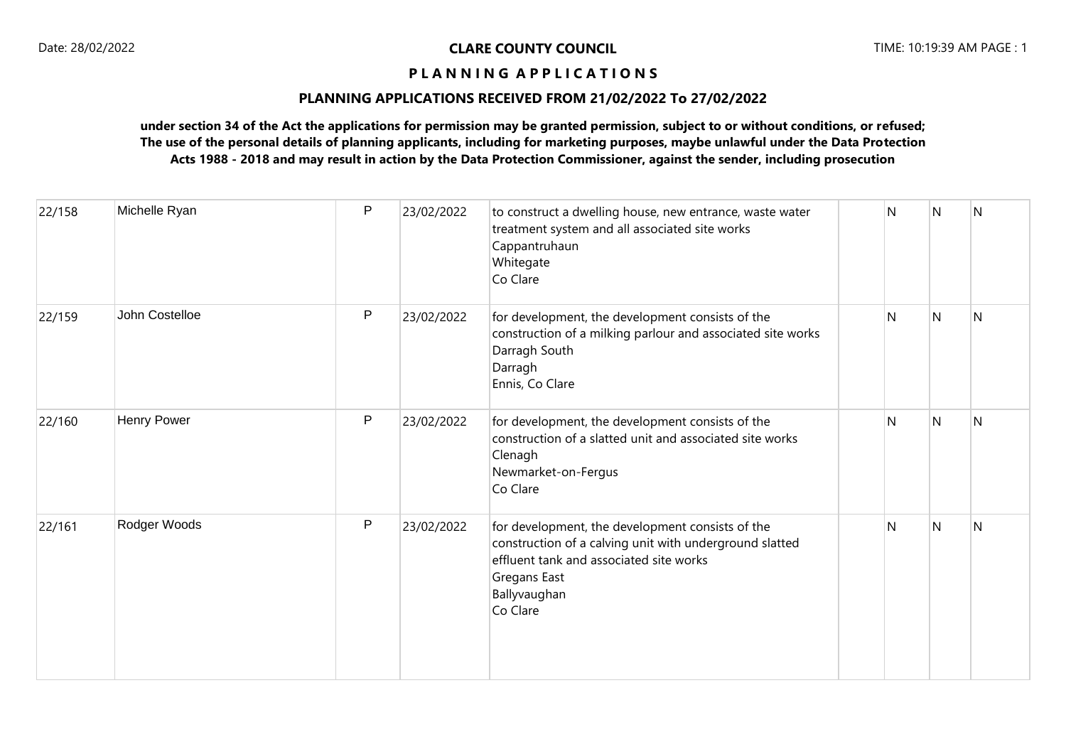# **PLANNING APPLICATIONS RECEIVED FROM 21/02/2022 To 27/02/2022**

| 22/158 | Michelle Ryan      | $\mathsf{P}$ | 23/02/2022 | to construct a dwelling house, new entrance, waste water<br>treatment system and all associated site works<br>Cappantruhaun<br>Whitegate<br>Co Clare                                               | N            | N | N            |
|--------|--------------------|--------------|------------|----------------------------------------------------------------------------------------------------------------------------------------------------------------------------------------------------|--------------|---|--------------|
| 22/159 | John Costelloe     | $\mathsf{P}$ | 23/02/2022 | for development, the development consists of the<br>construction of a milking parlour and associated site works<br>Darragh South<br>Darragh<br>Ennis, Co Clare                                     | N            | N | N            |
| 22/160 | <b>Henry Power</b> | P            | 23/02/2022 | for development, the development consists of the<br>construction of a slatted unit and associated site works<br>Clenagh<br>Newmarket-on-Fergus<br>Co Clare                                         | $\mathsf{N}$ | N | N            |
| 22/161 | Rodger Woods       | P            | 23/02/2022 | for development, the development consists of the<br>construction of a calving unit with underground slatted<br>effluent tank and associated site works<br>Gregans East<br>Ballyvaughan<br>Co Clare | N            | N | $\mathsf{N}$ |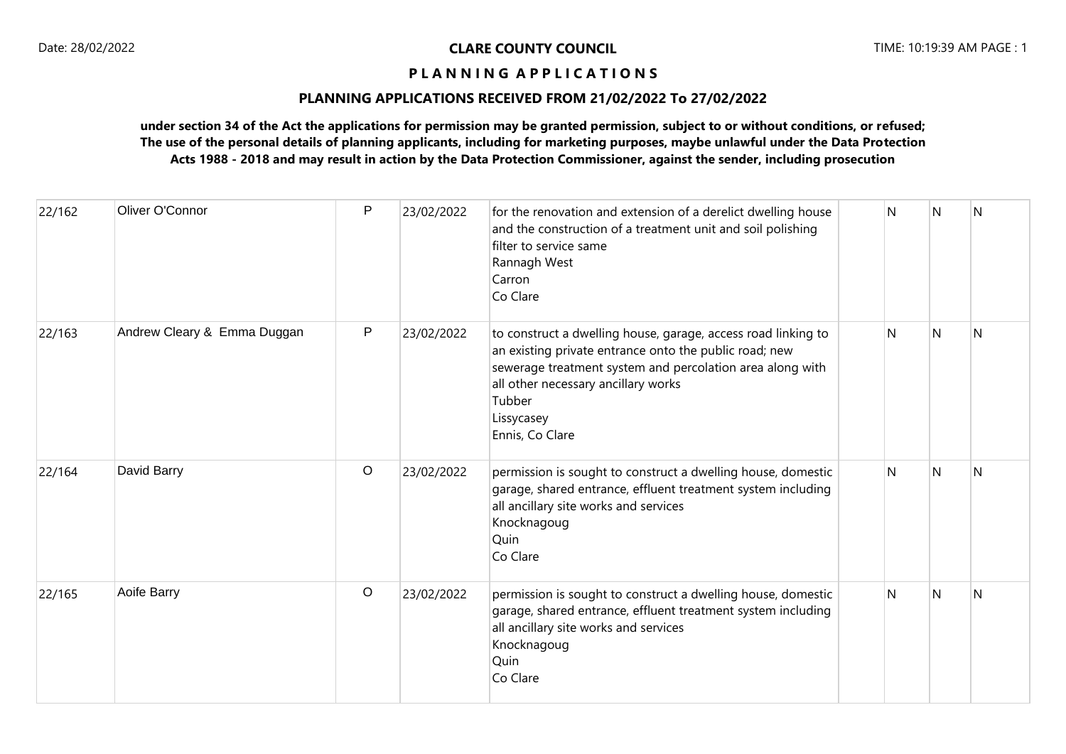# **PLANNING APPLICATIONS RECEIVED FROM 21/02/2022 To 27/02/2022**

| 22/162 | Oliver O'Connor             | P       | 23/02/2022 | for the renovation and extension of a derelict dwelling house<br>and the construction of a treatment unit and soil polishing<br>filter to service same<br>Rannagh West<br>Carron<br>Co Clare                                                                           | N  | N | <b>N</b> |
|--------|-----------------------------|---------|------------|------------------------------------------------------------------------------------------------------------------------------------------------------------------------------------------------------------------------------------------------------------------------|----|---|----------|
| 22/163 | Andrew Cleary & Emma Duggan | P       | 23/02/2022 | to construct a dwelling house, garage, access road linking to<br>an existing private entrance onto the public road; new<br>sewerage treatment system and percolation area along with<br>all other necessary ancillary works<br>Tubber<br>Lissycasey<br>Ennis, Co Clare | N. | N | N        |
| 22/164 | David Barry                 | $\circ$ | 23/02/2022 | permission is sought to construct a dwelling house, domestic<br>garage, shared entrance, effluent treatment system including<br>all ancillary site works and services<br>Knocknagoug<br>Quin<br>Co Clare                                                               | N  | N | N        |
| 22/165 | Aoife Barry                 | $\circ$ | 23/02/2022 | permission is sought to construct a dwelling house, domestic<br>garage, shared entrance, effluent treatment system including<br>all ancillary site works and services<br>Knocknagoug<br>Quin<br>Co Clare                                                               | N  | N | N        |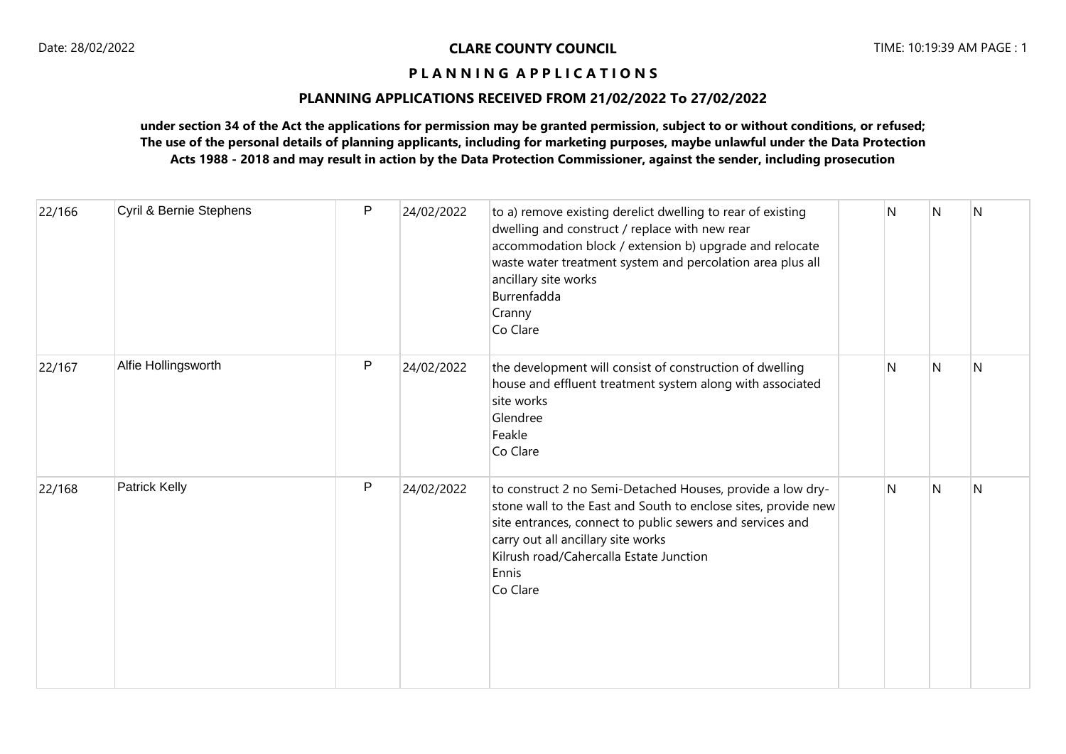# **PLANNING APPLICATIONS RECEIVED FROM 21/02/2022 To 27/02/2022**

| 22/166 | Cyril & Bernie Stephens | P | 24/02/2022 | to a) remove existing derelict dwelling to rear of existing<br>dwelling and construct / replace with new rear<br>accommodation block / extension b) upgrade and relocate<br>waste water treatment system and percolation area plus all<br>ancillary site works<br>Burrenfadda<br>Cranny<br>Co Clare | N | N | N |
|--------|-------------------------|---|------------|-----------------------------------------------------------------------------------------------------------------------------------------------------------------------------------------------------------------------------------------------------------------------------------------------------|---|---|---|
| 22/167 | Alfie Hollingsworth     | P | 24/02/2022 | the development will consist of construction of dwelling<br>house and effluent treatment system along with associated<br>site works<br>Glendree<br>Feakle<br>Co Clare                                                                                                                               | N | N | N |
| 22/168 | Patrick Kelly           | P | 24/02/2022 | to construct 2 no Semi-Detached Houses, provide a low dry-<br>stone wall to the East and South to enclose sites, provide new<br>site entrances, connect to public sewers and services and<br>carry out all ancillary site works<br>Kilrush road/Cahercalla Estate Junction<br>Ennis<br>Co Clare     | N | N | N |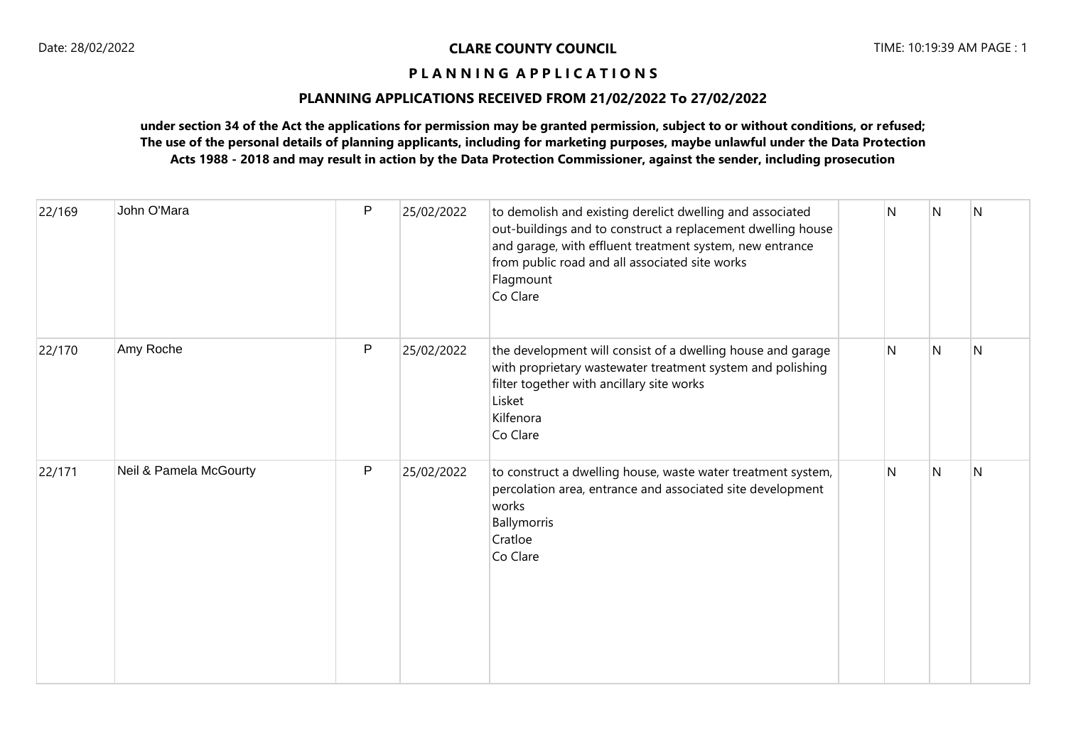# **PLANNING APPLICATIONS RECEIVED FROM 21/02/2022 To 27/02/2022**

| 22/169 | John O'Mara            | P            | 25/02/2022 | to demolish and existing derelict dwelling and associated<br>out-buildings and to construct a replacement dwelling house<br>and garage, with effluent treatment system, new entrance<br>from public road and all associated site works<br>Flagmount<br>Co Clare | N | N              | $\overline{N}$ |
|--------|------------------------|--------------|------------|-----------------------------------------------------------------------------------------------------------------------------------------------------------------------------------------------------------------------------------------------------------------|---|----------------|----------------|
| 22/170 | Amy Roche              | $\mathsf{P}$ | 25/02/2022 | the development will consist of a dwelling house and garage<br>with proprietary wastewater treatment system and polishing<br>filter together with ancillary site works<br>Lisket<br>Kilfenora<br>Co Clare                                                       | N | $\overline{N}$ | <sup>N</sup>   |
| 22/171 | Neil & Pamela McGourty | P            | 25/02/2022 | to construct a dwelling house, waste water treatment system,<br>percolation area, entrance and associated site development<br>works<br>Ballymorris<br>Cratloe<br>Co Clare                                                                                       | N | N              | N              |